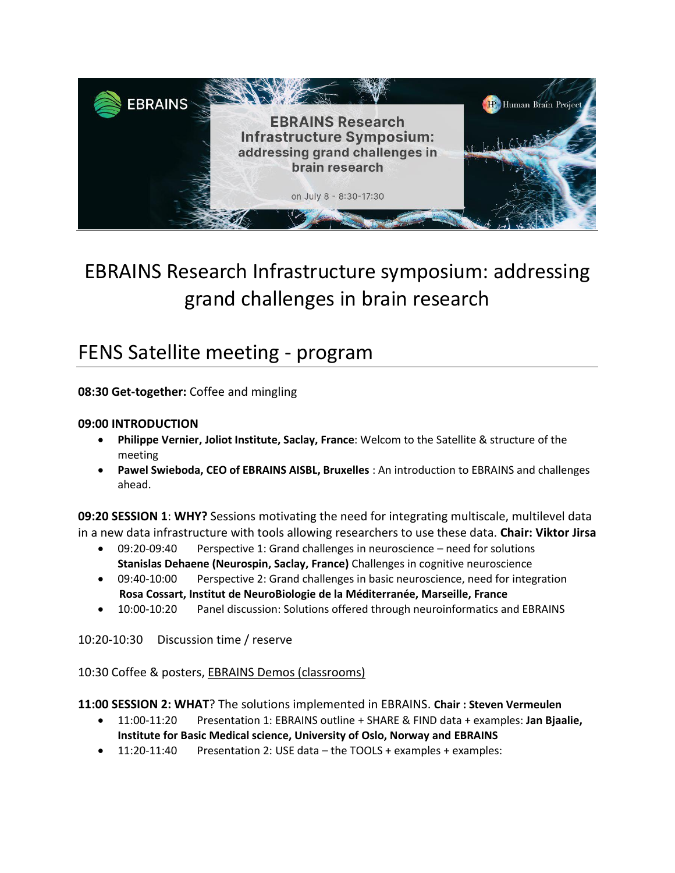

# EBRAINS Research Infrastructure symposium: addressing grand challenges in brain research

## FENS Satellite meeting - program

**08:30 Get-together:** Coffee and mingling

#### **09:00 INTRODUCTION**

- **Philippe Vernier, Joliot Institute, Saclay, France**: Welcom to the Satellite & structure of the meeting
- **Pawel Swieboda, CEO of EBRAINS AISBL, Bruxelles** : An introduction to EBRAINS and challenges ahead.

**09:20 SESSION 1**: **WHY?** Sessions motivating the need for integrating multiscale, multilevel data in a new data infrastructure with tools allowing researchers to use these data. **Chair: Viktor Jirsa**

- 09:20-09:40 Perspective 1: Grand challenges in neuroscience need for solutions **Stanislas Dehaene (Neurospin, Saclay, France)** Challenges in cognitive neuroscience
- 09:40-10:00 Perspective 2: Grand challenges in basic neuroscience, need for integration  **Rosa Cossart, Institut de NeuroBiologie de la Méditerranée, Marseille, France**
- 10:00-10:20 Panel discussion: Solutions offered through neuroinformatics and EBRAINS

10:20-10:30 Discussion time / reserve

10:30 Coffee & posters, EBRAINS Demos (classrooms)

**11:00 SESSION 2: WHAT**? The solutions implemented in EBRAINS. **Chair : Steven Vermeulen**

- 11:00-11:20 Presentation 1: EBRAINS outline + SHARE & FIND data + examples: **Jan Bjaalie, Institute for Basic Medical science, University of Oslo, Norway and EBRAINS**
- 11:20-11:40 Presentation 2: USE data the TOOLS + examples + examples: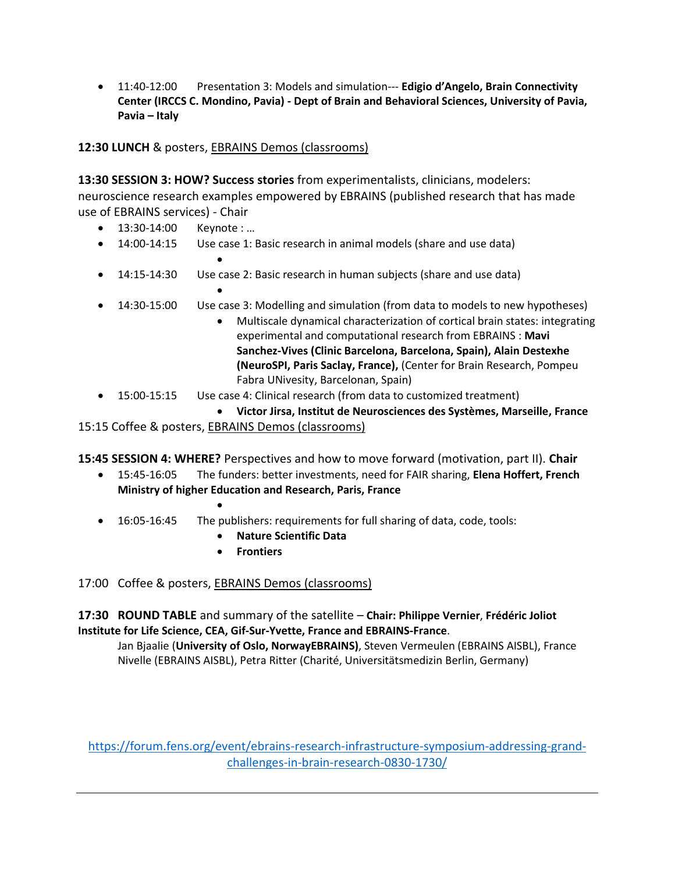11:40-12:00 Presentation 3: Models and simulation--- **Edigio d'Angelo, Brain Connectivity Center (IRCCS C. Mondino, Pavia) - Dept of Brain and Behavioral Sciences, University of Pavia, Pavia – Italy**

**12:30 LUNCH** & posters, EBRAINS Demos (classrooms)

**13:30 SESSION 3: HOW? Success stories** from experimentalists, clinicians, modelers: neuroscience research examples empowered by EBRAINS (published research that has made use of EBRAINS services) - Chair

- 13:30-14:00 Keynote : ...
- 14:00-14:15 Use case 1: Basic research in animal models (share and use data)  $\bullet$
- 14:15-14:30 Use case 2: Basic research in human subjects (share and use data)  $\bullet$
- 14:30-15:00 Use case 3: Modelling and simulation (from data to models to new hypotheses)
	- Multiscale dynamical characterization of cortical brain states: integrating experimental and computational research from EBRAINS : **Mavi Sanchez-Vives (Clinic Barcelona, Barcelona, Spain), Alain Destexhe (NeuroSPI, Paris Saclay, France),** (Center for Brain Research, Pompeu Fabra UNivesity, Barcelonan, Spain)
- 15:00-15:15 Use case 4: Clinical research (from data to customized treatment)
- **Victor Jirsa, Institut de Neurosciences des Systèmes, Marseille, France** 15:15 Coffee & posters, EBRAINS Demos (classrooms)

**15:45 SESSION 4: WHERE?** Perspectives and how to move forward (motivation, part II). **Chair**

- 15:45-16:05 The funders: better investments, need for FAIR sharing, **Elena Hoffert, French Ministry of higher Education and Research, Paris, France**
- 16:05-16:45 The publishers: requirements for full sharing of data, code, tools:
	- **Nature Scientific Data**
	- **Frontiers**

17:00 Coffee & posters, EBRAINS Demos (classrooms)

 $\bullet$ 

**17:30 ROUND TABLE** and summary of the satellite – **Chair: Philippe Vernier**, **Frédéric Joliot Institute for Life Science, CEA, Gif-Sur-Yvette, France and EBRAINS-France**.

Jan Bjaalie (**University of Oslo, NorwayEBRAINS)**, Steven Vermeulen (EBRAINS AISBL), France Nivelle (EBRAINS AISBL), Petra Ritter (Charité, Universitätsmedizin Berlin, Germany)

[https://forum.fens.org/event/ebrains-research-infrastructure-symposium-addressing-grand](https://forum.fens.org/event/ebrains-research-infrastructure-symposium-addressing-grand-challenges-in-brain-research-0830-1730/)[challenges-in-brain-research-0830-1730/](https://forum.fens.org/event/ebrains-research-infrastructure-symposium-addressing-grand-challenges-in-brain-research-0830-1730/)